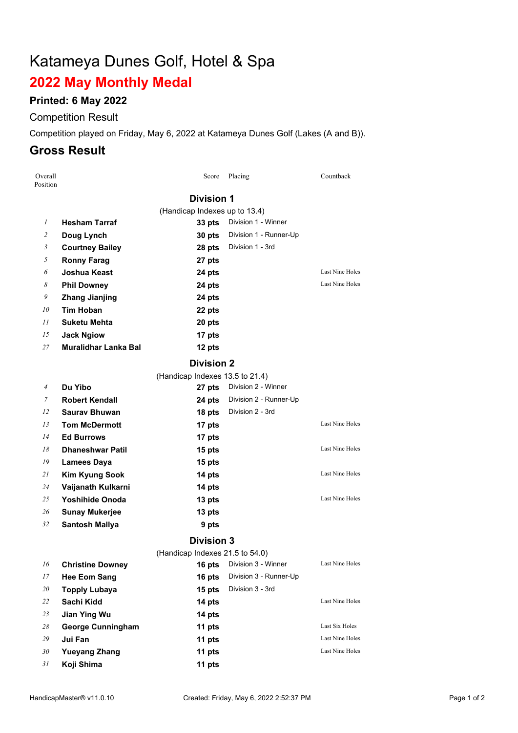# Katameya Dunes Golf, Hotel & Spa

# **May Monthly Medal**

#### **Printed: 6 May 2022**

## Competition Result

Competition played on Friday, May 6, 2022 at Katameya Dunes Golf (Lakes (A and B)).

### **Gross Result**

| Overall<br>Position |                                 | Score                           | Placing                | Countback              |  |  |  |  |
|---------------------|---------------------------------|---------------------------------|------------------------|------------------------|--|--|--|--|
|                     | <b>Division 1</b>               |                                 |                        |                        |  |  |  |  |
|                     | (Handicap Indexes up to 13.4)   |                                 |                        |                        |  |  |  |  |
| $\mathcal{I}$       | <b>Hesham Tarraf</b>            | 33 pts                          | Division 1 - Winner    |                        |  |  |  |  |
| 2                   | Doug Lynch                      | 30 pts                          | Division 1 - Runner-Up |                        |  |  |  |  |
| 3                   | <b>Courtney Bailey</b>          | 28 pts                          | Division 1 - 3rd       |                        |  |  |  |  |
| 5                   | <b>Ronny Farag</b>              | 27 pts                          |                        |                        |  |  |  |  |
| 6                   | <b>Joshua Keast</b>             | 24 pts                          |                        | Last Nine Holes        |  |  |  |  |
| 8                   | <b>Phil Downey</b>              | 24 pts                          |                        | <b>Last Nine Holes</b> |  |  |  |  |
| 9                   | <b>Zhang Jianjing</b>           | 24 pts                          |                        |                        |  |  |  |  |
| 10                  | <b>Tim Hoban</b>                | 22 pts                          |                        |                        |  |  |  |  |
| II                  | Suketu Mehta                    | 20 pts                          |                        |                        |  |  |  |  |
| 15                  | <b>Jack Ngiow</b>               | 17 pts                          |                        |                        |  |  |  |  |
| 27                  | <b>Muralidhar Lanka Bal</b>     | 12 pts                          |                        |                        |  |  |  |  |
|                     | <b>Division 2</b>               |                                 |                        |                        |  |  |  |  |
|                     |                                 | (Handicap Indexes 13.5 to 21.4) |                        |                        |  |  |  |  |
| $\overline{4}$      | Du Yibo                         | 27 pts                          | Division 2 - Winner    |                        |  |  |  |  |
| 7                   | <b>Robert Kendall</b>           | 24 pts                          | Division 2 - Runner-Up |                        |  |  |  |  |
| 12                  | <b>Sauray Bhuwan</b>            | 18 pts                          | Division 2 - 3rd       |                        |  |  |  |  |
| 13                  | <b>Tom McDermott</b>            | 17 pts                          |                        | Last Nine Holes        |  |  |  |  |
| 14                  | <b>Ed Burrows</b>               | 17 pts                          |                        |                        |  |  |  |  |
| 18                  | <b>Dhaneshwar Patil</b>         | 15 pts                          |                        | Last Nine Holes        |  |  |  |  |
| 19                  | <b>Lamees Daya</b>              | 15 pts                          |                        |                        |  |  |  |  |
| 21                  | <b>Kim Kyung Sook</b>           | 14 pts                          |                        | Last Nine Holes        |  |  |  |  |
| 24                  | Vaijanath Kulkarni              | 14 pts                          |                        |                        |  |  |  |  |
| 25                  | <b>Yoshihide Onoda</b>          | 13 pts                          |                        | <b>Last Nine Holes</b> |  |  |  |  |
| 26                  | <b>Sunay Mukerjee</b>           | 13 pts                          |                        |                        |  |  |  |  |
| 32                  | <b>Santosh Mallya</b>           | 9 pts                           |                        |                        |  |  |  |  |
| <b>Division 3</b>   |                                 |                                 |                        |                        |  |  |  |  |
|                     | (Handicap Indexes 21.5 to 54.0) |                                 |                        |                        |  |  |  |  |
| 16                  | <b>Christine Downey</b>         | 16 pts                          | Division 3 - Winner    | Last Nine Holes        |  |  |  |  |
| 17                  | <b>Hee Eom Sang</b>             | 16 pts                          | Division 3 - Runner-Up |                        |  |  |  |  |
| 20                  | <b>Topply Lubaya</b>            | 15 pts                          | Division 3 - 3rd       |                        |  |  |  |  |
| 22                  | Sachi Kidd                      | 14 pts                          |                        | Last Nine Holes        |  |  |  |  |
| 23                  | <b>Jian Ying Wu</b>             | 14 pts                          |                        |                        |  |  |  |  |
| 28                  | <b>George Cunningham</b>        | 11 pts                          |                        | Last Six Holes         |  |  |  |  |
| 29                  | Jui Fan                         | 11 pts                          |                        | Last Nine Holes        |  |  |  |  |
| 30                  | <b>Yueyang Zhang</b>            | 11 pts                          |                        | Last Nine Holes        |  |  |  |  |
| 31                  | Koji Shima                      | 11 pts                          |                        |                        |  |  |  |  |
|                     |                                 |                                 |                        |                        |  |  |  |  |